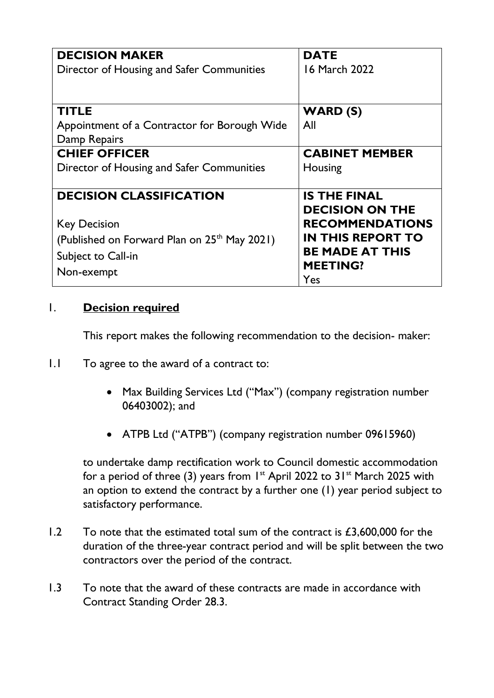| <b>DECISION MAKER</b>                                    | <b>DATE</b>              |
|----------------------------------------------------------|--------------------------|
| Director of Housing and Safer Communities                | 16 March 2022            |
|                                                          |                          |
|                                                          |                          |
| <b>TITLE</b>                                             | <b>WARD (S)</b>          |
| Appointment of a Contractor for Borough Wide             | All                      |
| Damp Repairs                                             |                          |
| <b>CHIEF OFFICER</b>                                     | <b>CABINET MEMBER</b>    |
| Director of Housing and Safer Communities                | Housing                  |
|                                                          |                          |
| <b>DECISION CLASSIFICATION</b>                           | <b>IS THE FINAL</b>      |
|                                                          | <b>DECISION ON THE</b>   |
| <b>Key Decision</b>                                      | <b>RECOMMENDATIONS</b>   |
| (Published on Forward Plan on 25 <sup>th</sup> May 2021) | <b>IN THIS REPORT TO</b> |
| Subject to Call-in                                       | <b>BE MADE AT THIS</b>   |
|                                                          | <b>MEETING?</b>          |
| Non-exempt                                               | Yes                      |

#### 1. **Decision required**

This report makes the following recommendation to the decision- maker:

- 1.1 To agree to the award of a contract to:
	- Max Building Services Ltd ("Max") (company registration number 06403002); and
	- ATPB Ltd ("ATPB") (company registration number 09615960)

to undertake damp rectification work to Council domestic accommodation for a period of three (3) years from  $1^{st}$  April 2022 to 31 $st$  March 2025 with an option to extend the contract by a further one (1) year period subject to satisfactory performance.

- $1.2$  To note that the estimated total sum of the contract is  $£3,600,000$  for the duration of the three-year contract period and will be split between the two contractors over the period of the contract.
- 1.3 To note that the award of these contracts are made in accordance with Contract Standing Order 28.3.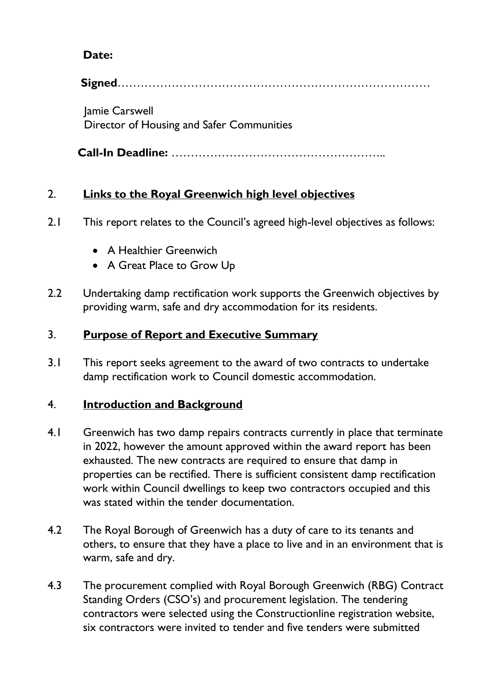# **Date:**

**Signed**………………………………………………………………………

 Jamie Carswell Director of Housing and Safer Communities

**Call-In Deadline:** ………………………………………………..

# 2. **Links to the Royal Greenwich high level objectives**

- 2.1 This report relates to the Council's agreed high-level objectives as follows:
	- A Healthier Greenwich
	- A Great Place to Grow Up
- 2.2 Undertaking damp rectification work supports the Greenwich objectives by providing warm, safe and dry accommodation for its residents.

# 3. **Purpose of Report and Executive Summary**

3.1 This report seeks agreement to the award of two contracts to undertake damp rectification work to Council domestic accommodation.

# 4. **Introduction and Background**

- 4.1 Greenwich has two damp repairs contracts currently in place that terminate in 2022, however the amount approved within the award report has been exhausted. The new contracts are required to ensure that damp in properties can be rectified. There is sufficient consistent damp rectification work within Council dwellings to keep two contractors occupied and this was stated within the tender documentation.
- 4.2 The Royal Borough of Greenwich has a duty of care to its tenants and others, to ensure that they have a place to live and in an environment that is warm, safe and dry.
- 4.3 The procurement complied with Royal Borough Greenwich (RBG) Contract Standing Orders (CSO's) and procurement legislation. The tendering contractors were selected using the Constructionline registration website, six contractors were invited to tender and five tenders were submitted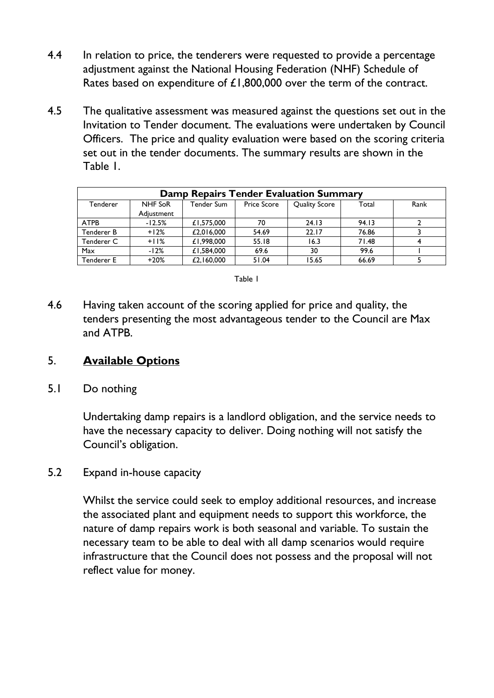- 4.4 In relation to price, the tenderers were requested to provide a percentage adjustment against the National Housing Federation (NHF) Schedule of Rates based on expenditure of £1,800,000 over the term of the contract.
- 4.5 The qualitative assessment was measured against the questions set out in the Invitation to Tender document. The evaluations were undertaken by Council Officers. The price and quality evaluation were based on the scoring criteria set out in the tender documents. The summary results are shown in the Table 1.

| <b>Damp Repairs Tender Evaluation Summary</b> |                |            |                    |                      |       |      |
|-----------------------------------------------|----------------|------------|--------------------|----------------------|-------|------|
| Tenderer                                      | <b>NHF SoR</b> | Tender Sum | <b>Price Score</b> | <b>Quality Score</b> | Total | Rank |
|                                               | Adjustment     |            |                    |                      |       |      |
| <b>ATPB</b>                                   | $-12.5%$       | £1,575,000 | 70                 | 24.13                | 94.13 |      |
| Tenderer B                                    | $+12%$         | £2,016,000 | 54.69              | 22.17                | 76.86 |      |
| Tenderer C                                    | $+11%$         | £1,998,000 | 55.18              | 16.3                 | 71.48 |      |
| Max                                           | $-12%$         | £1.584.000 | 69.6               | 30                   | 99.6  |      |
| <b>Tenderer E</b>                             | $+20%$         | £2,160,000 | 51.04              | 15.65                | 66.69 |      |

Table 1

4.6 Having taken account of the scoring applied for price and quality, the tenders presenting the most advantageous tender to the Council are Max and ATPB.

#### 5. **Available Options**

5.1 Do nothing

 Undertaking damp repairs is a landlord obligation, and the service needs to have the necessary capacity to deliver. Doing nothing will not satisfy the Council's obligation.

5.2 Expand in-house capacity

 Whilst the service could seek to employ additional resources, and increase the associated plant and equipment needs to support this workforce, the nature of damp repairs work is both seasonal and variable. To sustain the necessary team to be able to deal with all damp scenarios would require infrastructure that the Council does not possess and the proposal will not reflect value for money.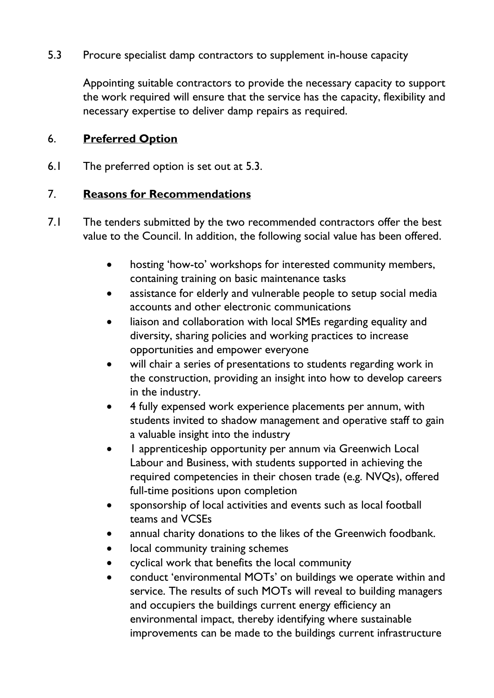5.3 Procure specialist damp contractors to supplement in-house capacity

 Appointing suitable contractors to provide the necessary capacity to support the work required will ensure that the service has the capacity, flexibility and necessary expertise to deliver damp repairs as required.

#### 6. **Preferred Option**

6.1 The preferred option is set out at 5.3.

#### 7. **Reasons for Recommendations**

- 7.1 The tenders submitted by the two recommended contractors offer the best value to the Council. In addition, the following social value has been offered.
	- hosting 'how-to' workshops for interested community members, containing training on basic maintenance tasks
	- assistance for elderly and vulnerable people to setup social media accounts and other electronic communications
	- liaison and collaboration with local SMEs regarding equality and diversity, sharing policies and working practices to increase opportunities and empower everyone
	- will chair a series of presentations to students regarding work in the construction, providing an insight into how to develop careers in the industry.
	- 4 fully expensed work experience placements per annum, with students invited to shadow management and operative staff to gain a valuable insight into the industry
	- 1 apprenticeship opportunity per annum via Greenwich Local Labour and Business, with students supported in achieving the required competencies in their chosen trade (e.g. NVQs), offered full-time positions upon completion
	- sponsorship of local activities and events such as local football teams and VCSEs
	- annual charity donations to the likes of the Greenwich foodbank.
	- local community training schemes
	- cyclical work that benefits the local community
	- conduct 'environmental MOTs' on buildings we operate within and service. The results of such MOTs will reveal to building managers and occupiers the buildings current energy efficiency an environmental impact, thereby identifying where sustainable improvements can be made to the buildings current infrastructure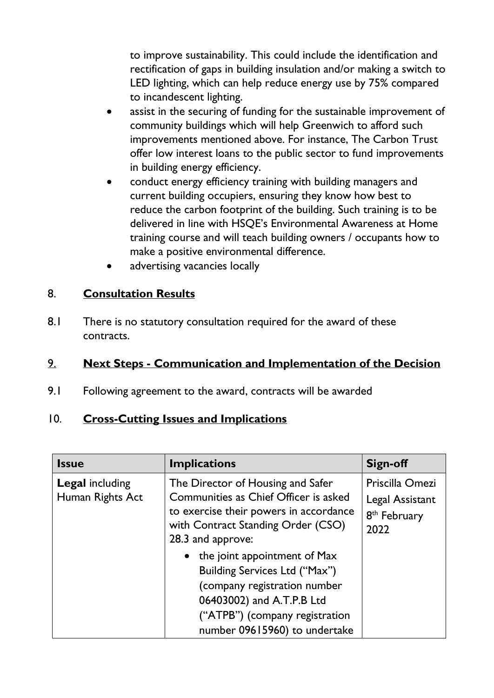to improve sustainability. This could include the identification and rectification of gaps in building insulation and/or making a switch to LED lighting, which can help reduce energy use by 75% compared to incandescent lighting.

- assist in the securing of funding for the sustainable improvement of community buildings which will help Greenwich to afford such improvements mentioned above. For instance, The Carbon Trust offer low interest loans to the public sector to fund improvements in building energy efficiency.
- conduct energy efficiency training with building managers and current building occupiers, ensuring they know how best to reduce the carbon footprint of the building. Such training is to be delivered in line with HSQE's Environmental Awareness at Home training course and will teach building owners / occupants how to make a positive environmental difference.
- advertising vacancies locally

# 8. **Consultation Results**

8.1 There is no statutory consultation required for the award of these contracts.

#### 9. **Next Steps - Communication and Implementation of the Decision**

9.1 Following agreement to the award, contracts will be awarded

# 10. **Cross-Cutting Issues and Implications**

| <b>Issue</b>                               | <b>Implications</b>                                                                                                                                                                             | <b>Sign-off</b>                                                        |
|--------------------------------------------|-------------------------------------------------------------------------------------------------------------------------------------------------------------------------------------------------|------------------------------------------------------------------------|
| <b>Legal including</b><br>Human Rights Act | The Director of Housing and Safer<br>Communities as Chief Officer is asked<br>to exercise their powers in accordance<br>with Contract Standing Order (CSO)<br>28.3 and approve:                 | Priscilla Omezi<br>Legal Assistant<br>8 <sup>th</sup> February<br>2022 |
|                                            | • the joint appointment of Max<br>Building Services Ltd ("Max")<br>(company registration number<br>06403002) and A.T.P.B Ltd<br>("ATPB") (company registration<br>number 09615960) to undertake |                                                                        |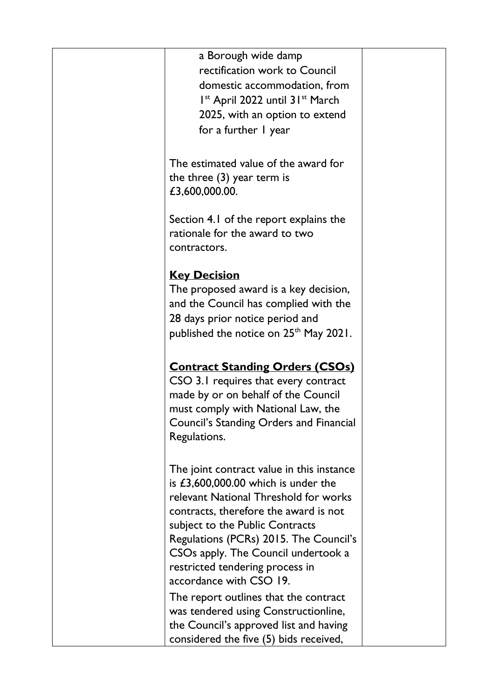| a Borough wide damp<br>rectification work to Council<br>domestic accommodation, from<br>$Ist$ April 2022 until 31 <sup>st</sup> March<br>2025, with an option to extend<br>for a further I year                                                                                                                                                        |  |
|--------------------------------------------------------------------------------------------------------------------------------------------------------------------------------------------------------------------------------------------------------------------------------------------------------------------------------------------------------|--|
| The estimated value of the award for<br>the three $(3)$ year term is<br>£3,600,000.00.                                                                                                                                                                                                                                                                 |  |
| Section 4.1 of the report explains the<br>rationale for the award to two<br>contractors.                                                                                                                                                                                                                                                               |  |
| <b>Key Decision</b><br>The proposed award is a key decision,<br>and the Council has complied with the<br>28 days prior notice period and<br>published the notice on 25 <sup>th</sup> May 2021.                                                                                                                                                         |  |
| <b>Contract Standing Orders (CSOs)</b><br>CSO 3.1 requires that every contract<br>made by or on behalf of the Council<br>must comply with National Law, the<br>Council's Standing Orders and Financial<br>Regulations.                                                                                                                                 |  |
| The joint contract value in this instance<br>is $£3,600,000.00$ which is under the<br>relevant National Threshold for works<br>contracts, therefore the award is not<br>subject to the Public Contracts<br>Regulations (PCRs) 2015. The Council's<br>CSOs apply. The Council undertook a<br>restricted tendering process in<br>accordance with CSO 19. |  |
| The report outlines that the contract<br>was tendered using Constructionline,<br>the Council's approved list and having<br>considered the five (5) bids received,                                                                                                                                                                                      |  |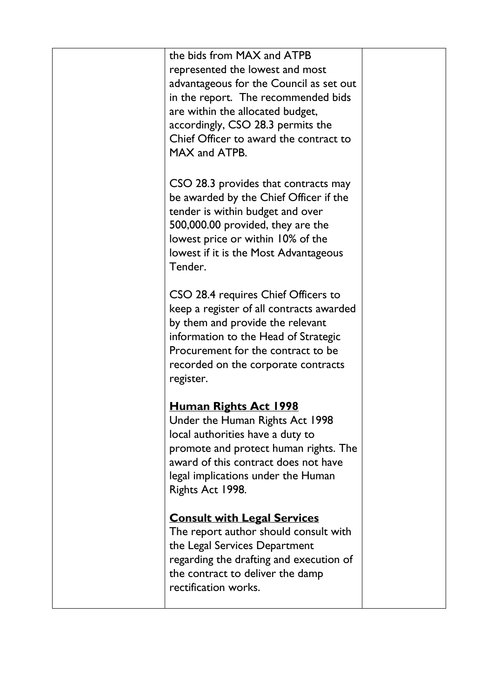| the bids from MAX and ATPB                                                                                                                                                                                                                            |  |
|-------------------------------------------------------------------------------------------------------------------------------------------------------------------------------------------------------------------------------------------------------|--|
| represented the lowest and most<br>advantageous for the Council as set out<br>in the report. The recommended bids<br>are within the allocated budget,<br>accordingly, CSO 28.3 permits the<br>Chief Officer to award the contract to<br>MAX and ATPB. |  |
| CSO 28.3 provides that contracts may<br>be awarded by the Chief Officer if the<br>tender is within budget and over<br>500,000.00 provided, they are the<br>lowest price or within 10% of the<br>lowest if it is the Most Advantageous<br>Tender.      |  |
| CSO 28.4 requires Chief Officers to<br>keep a register of all contracts awarded<br>by them and provide the relevant<br>information to the Head of Strategic<br>Procurement for the contract to be<br>recorded on the corporate contracts<br>register. |  |
| <u>Human Rights Act 1998</u><br>Under the Human Rights Act 1998<br>local authorities have a duty to<br>promote and protect human rights. The<br>award of this contract does not have<br>legal implications under the Human<br>Rights Act 1998.        |  |
| <b>Consult with Legal Services</b><br>The report author should consult with<br>the Legal Services Department<br>regarding the drafting and execution of<br>the contract to deliver the damp<br>rectification works.                                   |  |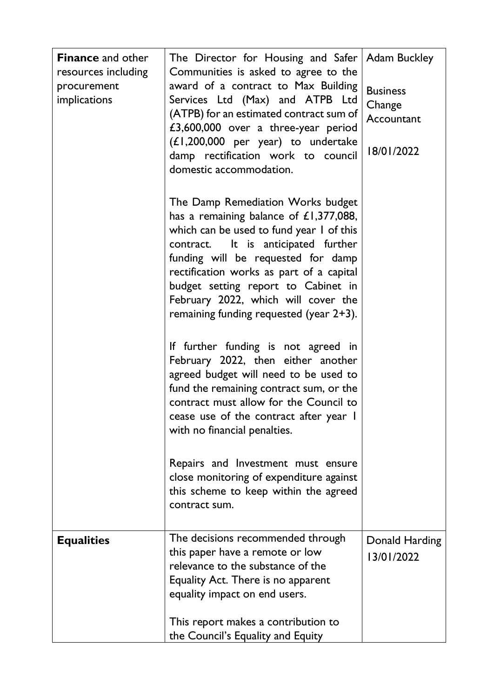| <b>Finance and other</b><br>resources including<br>procurement<br>implications | The Director for Housing and Safer   Adam Buckley<br>Communities is asked to agree to the<br>award of a contract to Max Building<br>Services Ltd (Max) and ATPB Ltd<br>(ATPB) for an estimated contract sum of<br>£3,600,000 over a three-year period<br>$(L1, 200, 000$ per year) to undertake<br>damp rectification work to council<br>domestic accommodation.            | <b>Business</b><br>Change<br>Accountant<br>18/01/2022 |
|--------------------------------------------------------------------------------|-----------------------------------------------------------------------------------------------------------------------------------------------------------------------------------------------------------------------------------------------------------------------------------------------------------------------------------------------------------------------------|-------------------------------------------------------|
|                                                                                | The Damp Remediation Works budget<br>has a remaining balance of $£1,377,088,$<br>which can be used to fund year I of this<br>contract. It is anticipated further<br>funding will be requested for damp<br>rectification works as part of a capital<br>budget setting report to Cabinet in<br>February 2022, which will cover the<br>remaining funding requested (year 2+3). |                                                       |
|                                                                                | If further funding is not agreed in<br>February 2022, then either another<br>agreed budget will need to be used to<br>fund the remaining contract sum, or the<br>contract must allow for the Council to<br>cease use of the contract after year I<br>with no financial penalties.                                                                                           |                                                       |
|                                                                                | Repairs and Investment must ensure<br>close monitoring of expenditure against<br>this scheme to keep within the agreed<br>contract sum.                                                                                                                                                                                                                                     |                                                       |
| <b>Equalities</b>                                                              | The decisions recommended through<br>this paper have a remote or low<br>relevance to the substance of the<br>Equality Act. There is no apparent<br>equality impact on end users.<br>This report makes a contribution to<br>the Council's Equality and Equity                                                                                                                | Donald Harding<br>13/01/2022                          |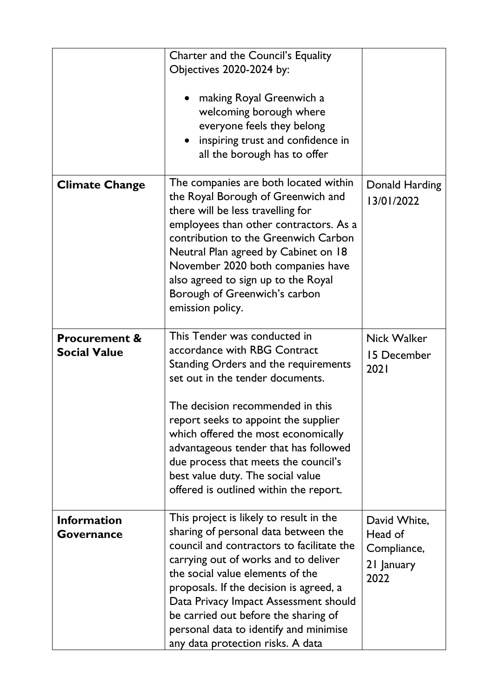|                                                 | Charter and the Council's Equality<br>Objectives 2020-2024 by:<br>making Royal Greenwich a<br>welcoming borough where<br>everyone feels they belong<br>inspiring trust and confidence in<br>all the borough has to offer                                                                                                                                                                                                    |                                                              |
|-------------------------------------------------|-----------------------------------------------------------------------------------------------------------------------------------------------------------------------------------------------------------------------------------------------------------------------------------------------------------------------------------------------------------------------------------------------------------------------------|--------------------------------------------------------------|
| <b>Climate Change</b>                           | The companies are both located within<br>the Royal Borough of Greenwich and<br>there will be less travelling for<br>employees than other contractors. As a<br>contribution to the Greenwich Carbon<br>Neutral Plan agreed by Cabinet on 18<br>November 2020 both companies have<br>also agreed to sign up to the Royal<br>Borough of Greenwich's carbon<br>emission policy.                                                 | Donald Harding<br>13/01/2022                                 |
| <b>Procurement &amp;</b><br><b>Social Value</b> | This Tender was conducted in<br>accordance with RBG Contract<br>Standing Orders and the requirements<br>set out in the tender documents.<br>The decision recommended in this<br>report seeks to appoint the supplier<br>which offered the most economically<br>advantageous tender that has followed<br>due process that meets the council's<br>best value duty. The social value<br>offered is outlined within the report. | <b>Nick Walker</b><br>15 December<br>2021                    |
| <b>Information</b><br><b>Governance</b>         | This project is likely to result in the<br>sharing of personal data between the<br>council and contractors to facilitate the<br>carrying out of works and to deliver<br>the social value elements of the<br>proposals. If the decision is agreed, a<br>Data Privacy Impact Assessment should<br>be carried out before the sharing of<br>personal data to identify and minimise<br>any data protection risks. A data         | David White,<br>Head of<br>Compliance,<br>21 January<br>2022 |